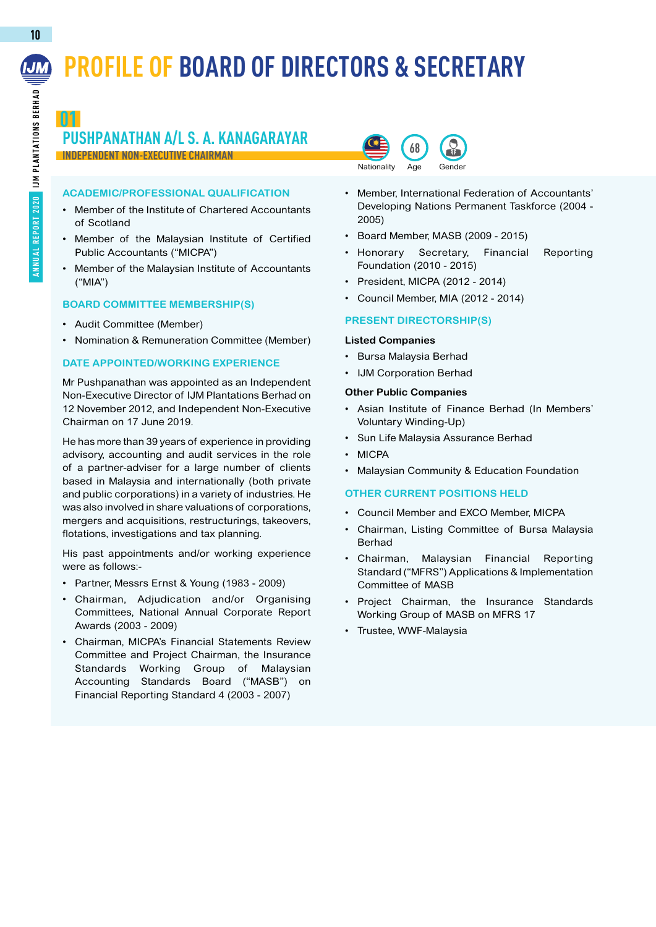# **PROFILE OF BOARD OF DIRECTORS & SECRETARY**

## **01 PUSHPANATHAN A/L S. A. KANAGARAYAR INDEPENDENT NON-EXECUTIVE CHAIRMAN**

### **ACADEMIC/PROFESSIONAL QUALIFICATION**

- Member of the Institute of Chartered Accountants of Scotland
- • Member of the Malaysian Institute of Certified Public Accountants ("MICPA")
- Member of the Malaysian Institute of Accountants ("MIA")

### **Board Committee Membership(s)**

- • Audit Committee (Member)
- • Nomination & Remuneration Committee (Member)

### **DATE APPOINTED/WORKING EXPERIENCE**

Mr Pushpanathan was appointed as an Independent Non-Executive Director of IJM Plantations Berhad on 12 November 2012, and Independent Non-Executive Chairman on 17 June 2019.

He has more than 39 years of experience in providing advisory, accounting and audit services in the role of a partner-adviser for a large number of clients based in Malaysia and internationally (both private and public corporations) in a variety of industries. He was also involved in share valuations of corporations, mergers and acquisitions, restructurings, takeovers, flotations, investigations and tax planning.

His past appointments and/or working experience were as follows:-

- • Partner, Messrs Ernst & Young (1983 2009)
- Chairman, Adjudication and/or Organising Committees, National Annual Corporate Report Awards (2003 - 2009)
- • Chairman, MICPA's Financial Statements Review Committee and Project Chairman, the Insurance Standards Working Group of Malaysian Accounting Standards Board ("MASB") on Financial Reporting Standard 4 (2003 - 2007)



- • Member, International Federation of Accountants' Developing Nations Permanent Taskforce (2004 - 2005)
- • Board Member, MASB (2009 2015)
- Honorary Secretary, Financial Reporting Foundation (2010 - 2015)
- President, MICPA (2012 2014)
- • Council Member, MIA (2012 2014)

### **Present Directorship(s)**

### **Listed Companies**

- • Bursa Malaysia Berhad
- • IJM Corporation Berhad

### **Other Public Companies**

- Asian Institute of Finance Berhad (In Members' Voluntary Winding-Up)
- • Sun Life Malaysia Assurance Berhad
- • MICPA
- Malaysian Community & Education Foundation

### **Other Current PositionS Held**

- • Council Member and EXCO Member, MICPA
- Chairman, Listing Committee of Bursa Malaysia Berhad
- Chairman, Malaysian Financial Reporting Standard ("MFRS") Applications & Implementation Committee of MASB
- • Project Chairman, the Insurance Standards Working Group of MASB on MFRS 17
- • Trustee, WWF-Malaysia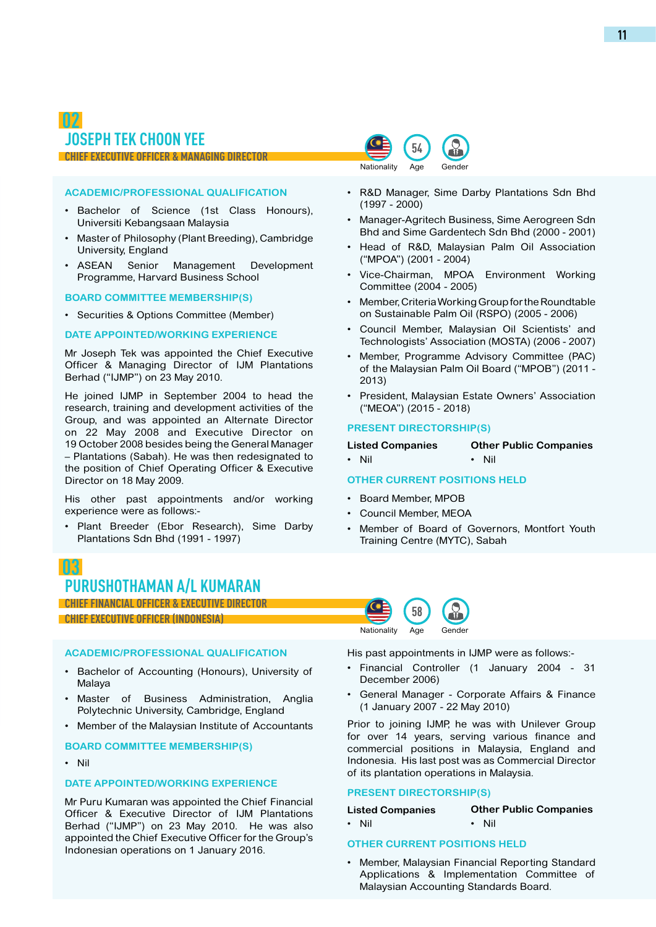### **ACADEMIC/PROFESSIONAL QUALIFICATION**

- • Bachelor of Science (1st Class Honours), Universiti Kebangsaan Malaysia
- • Master of Philosophy (Plant Breeding), Cambridge University, England
- • ASEAN Senior Management Development Programme, Harvard Business School

### **Board Committee Membership(s)**

• Securities & Options Committee (Member)

### **DATE APPOINTED/WORKING EXPERIENCE**

Mr Joseph Tek was appointed the Chief Executive Officer & Managing Director of IJM Plantations Berhad ("IJMP") on 23 May 2010.

He joined IJMP in September 2004 to head the research, training and development activities of the Group, and was appointed an Alternate Director on 22 May 2008 and Executive Director on 19 October 2008 besides being the General Manager – Plantations (Sabah). He was then redesignated to the position of Chief Operating Officer & Executive Director on 18 May 2009.

His other past appointments and/or working experience were as follows:-

Plant Breeder (Ebor Research), Sime Darby Plantations Sdn Bhd (1991 - 1997)

### **54** Age Gender Nationality

- • R&D Manager, Sime Darby Plantations Sdn Bhd (1997 - 2000)
- Manager-Agritech Business, Sime Aerogreen Sdn Bhd and Sime Gardentech Sdn Bhd (2000 - 2001)
- Head of R&D, Malaysian Palm Oil Association ("MPOA") (2001 - 2004)
- Vice-Chairman, MPOA Environment Working Committee (2004 - 2005)
- Member, Criteria Working Group for the Roundtable on Sustainable Palm Oil (RSPO) (2005 - 2006)
- Council Member, Malaysian Oil Scientists' and Technologists' Association (MOSTA) (2006 - 2007)
- Member, Programme Advisory Committee (PAC) of the Malaysian Palm Oil Board ("MPOB") (2011 - 2013)
- President, Malaysian Estate Owners' Association ("MEOA") (2015 - 2018)

### **Present Directorship(s)**

**Listed Companies** • Nil **Other Public Companies** • Nil

### **Other Current PositionS Held**

- • Board Member, MPOB
- Council Member, MEOA

**58**

Age

**Nationality** 

Member of Board of Governors, Montfort Youth Training Centre (MYTC), Sabah

## **03 PURUSHOTHAMAN A/L KUMARAN**

### **CHIEF FINANCIAL OFFICER & EXECUTIVE DIRECTOR**

**CHIEF EXECUTIVE OFFICER (INDONESIA)**

### **ACADEMIC/PROFESSIONAL QUALIFICATION**

- • Bachelor of Accounting (Honours), University of Malaya
- Master of Business Administration, Anglia Polytechnic University, Cambridge, England
- Member of the Malaysian Institute of Accountants

### **Board Committee Membership(s)**

• Nil

### **DATE APPOINTED/WORKING EXPERIENCE**

Mr Puru Kumaran was appointed the Chief Financial Officer & Executive Director of IJM Plantations Berhad ("IJMP") on 23 May 2010. He was also appointed the Chief Executive Officer for the Group's Indonesian operations on 1 January 2016.

His past appointments in IJMP were as follows:-

**Gender** 

- Financial Controller (1 January 2004 31 December 2006)
- • General Manager Corporate Affairs & Finance (1 January 2007 - 22 May 2010)

Prior to joining IJMP, he was with Unilever Group for over 14 years, serving various finance and commercial positions in Malaysia, England and Indonesia. His last post was as Commercial Director of its plantation operations in Malaysia.

### **Present Directorship(s)**

**Listed Companies** • Nil **Other Public Companies** • Nil

### **Other Current PositionS Held**

Member, Malaysian Financial Reporting Standard Applications & Implementation Committee of Malaysian Accounting Standards Board.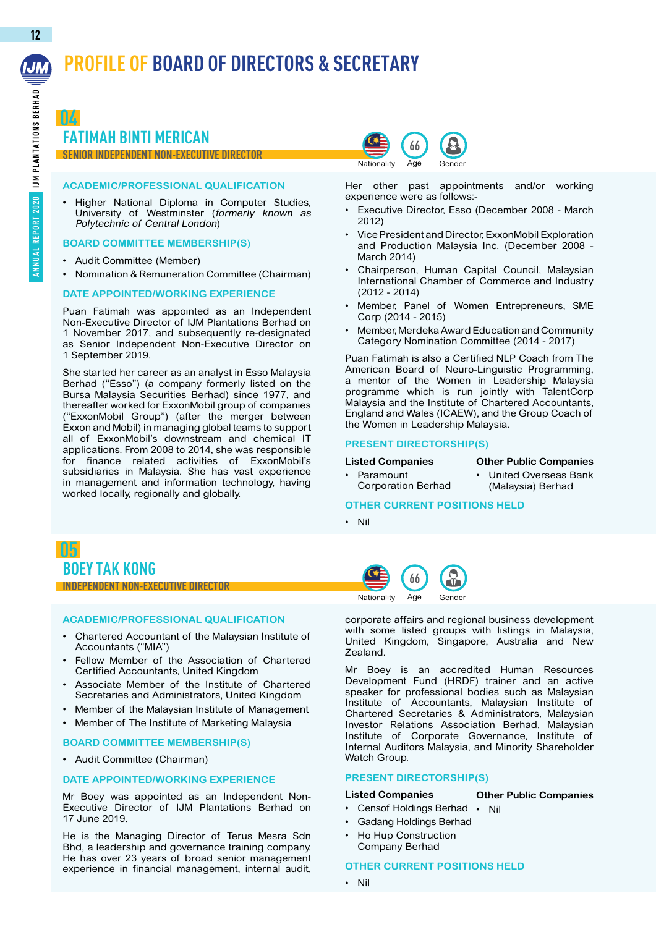# **PROFILE OF BOARD OF DIRECTORS & SECRETARY**

**04 FATIMAH BINTI MERICAN**

# **SENIOR INDEPENDENT NON-EXECUTIVE DIRECTOR**

### **ACADEMIC/PROFESSIONAL QUALIFICATION**

Higher National Diploma in Computer Studies, University of Westminster (formerly known as Polytechnic of Central London)

### **Board Committee Membership(s)**

- • Audit Committee (Member)
- • Nomination & Remuneration Committee (Chairman)

### **DATE APPOINTED/WORKING EXPERIENCE**

Puan Fatimah was appointed as an Independent Non-Executive Director of IJM Plantations Berhad on 1 November 2017, and subsequently re-designated as Senior Independent Non-Executive Director on 1 September 2019.

She started her career as an analyst in Esso Malaysia Berhad ("Esso") (a company formerly listed on the Bursa Malaysia Securities Berhad) since 1977, and thereafter worked for ExxonMobil group of companies ("ExxonMobil Group") (after the merger between Exxon and Mobil) in managing global teams to support all of ExxonMobil's downstream and chemical IT applications. From 2008 to 2014, she was responsible for finance related activities of ExxonMobil's subsidiaries in Malaysia. She has vast experience in management and information technology, having worked locally, regionally and globally.

Age **Gender Nationality** 

Her other past appointments and/or working experience were as follows:-

- Executive Director, Esso (December 2008 March 2012)
- Vice President and Director, ExxonMobil Exploration and Production Malaysia Inc. (December 2008 - March 2014)
- Chairperson, Human Capital Council, Malaysian International Chamber of Commerce and Industry (2012 - 2014)
- Member, Panel of Women Entrepreneurs, SME Corp (2014 - 2015)
- Member, Merdeka Award Education and Community Category Nomination Committee (2014 - 2017)

Puan Fatimah is also a Certified NLP Coach from The American Board of Neuro-Linguistic Programming, a mentor of the Women in Leadership Malaysia programme which is run jointly with TalentCorp Malaysia and the Institute of Chartered Accountants, England and Wales (ICAEW), and the Group Coach of the Women in Leadership Malaysia.

### **Present Directorship(s)**

### **Listed Companies**

- Paramount Corporation Berhad
- **United Overseas Bank** (Malaysia) Berhad

**Other Public Companies**

### **OTHER CURRENT POSITIONS HELD**

• Nil



### **Independent Non-Executive Director**

### **ACADEMIC/PROFESSIONAL QUALIFICATION**

- Chartered Accountant of the Malaysian Institute of Accountants ("MIA")
- Fellow Member of the Association of Chartered Certified Accountants, United Kingdom
- Associate Member of the Institute of Chartered Secretaries and Administrators, United Kingdom
- Member of the Malaysian Institute of Management
- • Member of The Institute of Marketing Malaysia

### **Board Committee Membership(s)**

• Audit Committee (Chairman)

### **DATE APPOINTED/WORKING EXPERIENCE**

Mr Boey was appointed as an Independent Non-Executive Director of IJM Plantations Berhad on 17 June 2019.

He is the Managing Director of Terus Mesra Sdn Bhd, a leadership and governance training company. He has over 23 years of broad senior management experience in financial management, internal audit,



corporate affairs and regional business development with some listed groups with listings in Malaysia, United Kingdom, Singapore, Australia and New Zealand.

Mr Boey is an accredited Human Resources Development Fund (HRDF) trainer and an active speaker for professional bodies such as Malaysian Institute of Accountants, Malaysian Institute of Chartered Secretaries & Administrators, Malaysian Investor Relations Association Berhad, Malaysian Institute of Corporate Governance, Institute of Internal Auditors Malaysia, and Minority Shareholder Watch Group.

### **Present Directorship(s)**

#### **Listed Companies Other Public Companies**

- Censof Holdings Berhad Nil
- **Gadang Holdings Berhad**
- **Ho Hup Construction**

Company Berhad

### **Other Current PositionS Held**

• Nil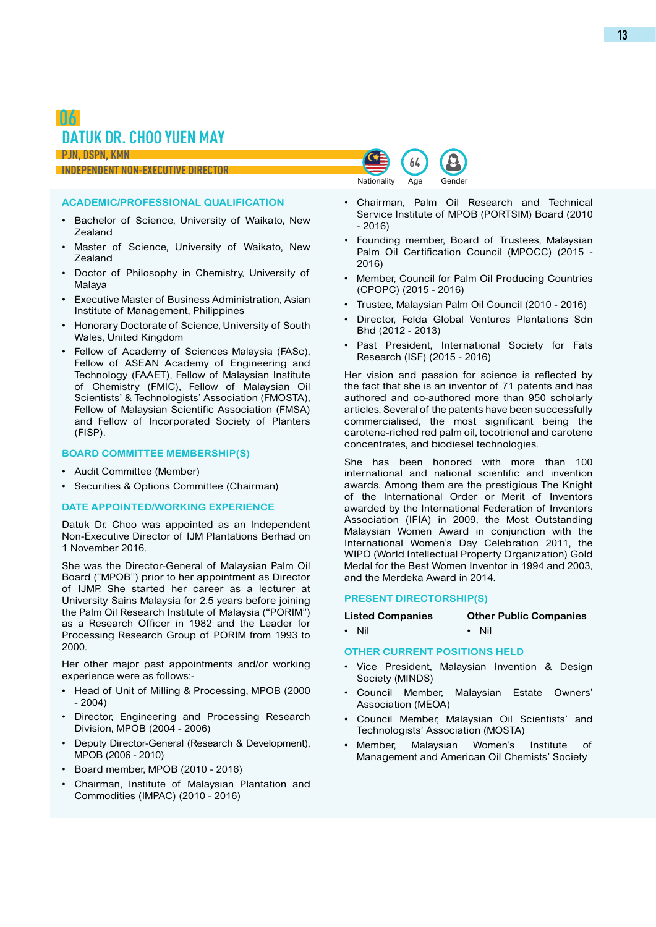## **06 DATUK DR. CHOO YUEN MAY**

**PJN, DSPN, KMN**

### **Independent Non-Executive Director**

### **ACADEMIC/PROFESSIONAL QUALIFICATION**

- • Bachelor of Science, University of Waikato, New Zealand
- Master of Science, University of Waikato, New Zealand
- • Doctor of Philosophy in Chemistry, University of Malaya
- • Executive Master of Business Administration, Asian Institute of Management, Philippines
- • Honorary Doctorate of Science, University of South Wales, United Kingdom
- Fellow of Academy of Sciences Malaysia (FASc), Fellow of ASEAN Academy of Engineering and Technology (FAAET), Fellow of Malaysian Institute of Chemistry (FMIC), Fellow of Malaysian Oil Scientists' & Technologists' Association (FMOSTA), Fellow of Malaysian Scientific Association (FMSA) and Fellow of Incorporated Society of Planters (FISP).

### **Board Committee Membership(s)**

- • Audit Committee (Member)
- • Securities & Options Committee (Chairman)

### **DATE APPOINTED/WORKING EXPERIENCE**

Datuk Dr. Choo was appointed as an Independent Non-Executive Director of IJM Plantations Berhad on 1 November 2016.

She was the Director-General of Malaysian Palm Oil Board ("MPOB") prior to her appointment as Director of IJMP. She started her career as a lecturer at University Sains Malaysia for 2.5 years before joining the Palm Oil Research Institute of Malaysia ("PORIM") as a Research Officer in 1982 and the Leader for Processing Research Group of PORIM from 1993 to 2000.

Her other major past appointments and/or working experience were as follows:-

- Head of Unit of Milling & Processing, MPOB (2000 - 2004)
- Director, Engineering and Processing Research Division, MPOB (2004 - 2006)
- • Deputy Director-General (Research & Development), MPOB (2006 - 2010)
- • Board member, MPOB (2010 2016)
- Chairman, Institute of Malaysian Plantation and Commodities (IMPAC) (2010 - 2016)

• Chairman, Palm Oil Research and Technical Service Institute of MPOB (PORTSIM) Board (2010 - 2016)

**64** Nationality Age Gender

- Founding member, Board of Trustees, Malaysian Palm Oil Certification Council (MPOCC) (2015 - 2016)
- • Member, Council for Palm Oil Producing Countries (CPOPC) (2015 - 2016)
- • Trustee, Malaysian Palm Oil Council (2010 2016)
- Director, Felda Global Ventures Plantations Sdn Bhd (2012 - 2013)
- Past President, International Society for Fats Research (ISF) (2015 - 2016)

Her vision and passion for science is reflected by the fact that she is an inventor of 71 patents and has authored and co-authored more than 950 scholarly articles. Several of the patents have been successfully commercialised, the most significant being the carotene-riched red palm oil, tocotrienol and carotene concentrates, and biodiesel technologies.

She has been honored with more than 100 international and national scientific and invention awards. Among them are the prestigious The Knight of the International Order or Merit of Inventors awarded by the International Federation of Inventors Association (IFIA) in 2009, the Most Outstanding Malaysian Women Award in conjunction with the International Women's Day Celebration 2011, the WIPO (World Intellectual Property Organization) Gold Medal for the Best Women Inventor in 1994 and 2003, and the Merdeka Award in 2014.

### **Present Directorship(s)**

| <b>Listed Companies</b> | <b>Other Public Companies</b> |
|-------------------------|-------------------------------|
| • Nil                   | • Nil                         |

### **Other Current PositionS Held**

- Vice President, Malaysian Invention & Design Society (MINDS)
- Council Member, Malaysian Estate Owners' Association (MEOA)
- • Council Member, Malaysian Oil Scientists' and Technologists' Association (MOSTA)
- Member, Malaysian Women's Institute of Management and American Oil Chemists' Society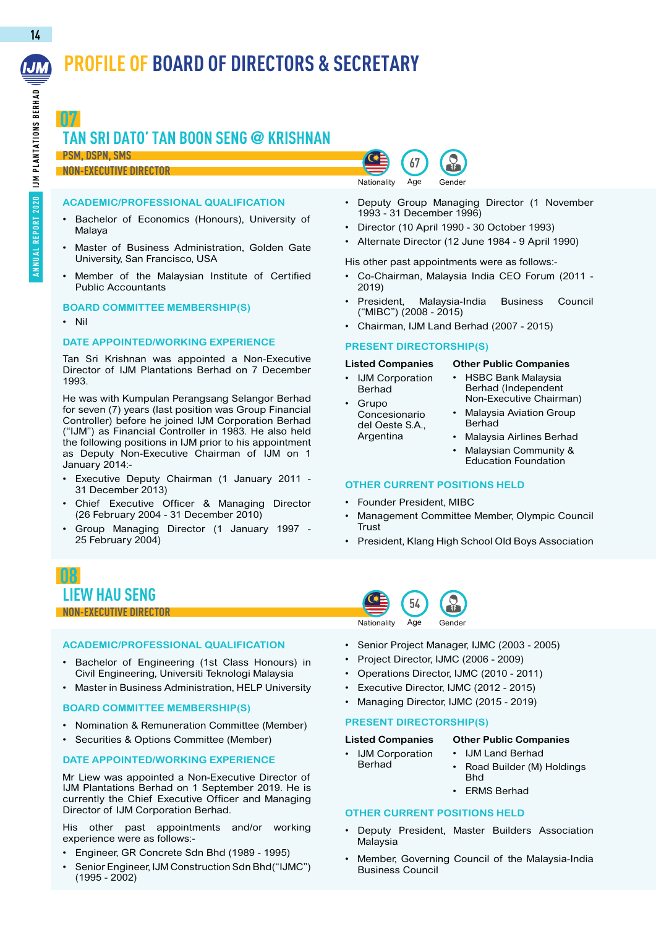# **PROFILE OF BOARD OF DIRECTORS & SECRETARY**

**14**

**07**

# **TAN SRI DATO' TAN BOON SENG @ KRISHNAN**

### **PSM, DSPN, SMS Non-Executive Director**

### **ACADEMIC/PROFESSIONAL QUALIFICATION**

- Bachelor of Economics (Honours), University of Malaya
- Master of Business Administration, Golden Gate University, San Francisco, USA
- Member of the Malaysian Institute of Certified Public Accountants

### **Board Committee Membership(s)**

• Nil

### **DATE APPOINTED/WORKING EXPERIENCE**

Tan Sri Krishnan was appointed a Non-Executive Director of IJM Plantations Berhad on 7 December 1993.

He was with Kumpulan Perangsang Selangor Berhad for seven (7) years (last position was Group Financial Controller) before he joined IJM Corporation Berhad ("IJM") as Financial Controller in 1983. He also held the following positions in IJM prior to his appointment as Deputy Non-Executive Chairman of IJM on 1 January 2014:-

- Executive Deputy Chairman (1 January 2011 -31 December 2013)
- Chief Executive Officer & Managing Director (26 February 2004 - 31 December 2010)
- Group Managing Director (1 January 1997 -25 February 2004)

## **08 LIEW HAU SENG Non-Executive Director <sup>54</sup>**

### **ACADEMIC/PROFESSIONAL QUALIFICATION**

- Bachelor of Engineering (1st Class Honours) in Civil Engineering, Universiti Teknologi Malaysia
- • Master in Business Administration, HELP University

### **Board Committee Membership(s)**

- • Nomination & Remuneration Committee (Member)
- Securities & Options Committee (Member)

### **DATE APPOINTED/WORKING EXPERIENCE**

Mr Liew was appointed a Non-Executive Director of IJM Plantations Berhad on 1 September 2019. He is currently the Chief Executive Officer and Managing Director of IJM Corporation Berhad.

His other past appointments and/or working experience were as follows:-

- Engineer, GR Concrete Sdn Bhd (1989 1995)
- Senior Engineer, IJM Construction Sdn Bhd("IJMC") (1995 - 2002)



- • Deputy Group Managing Director (1 November 1993 - 31 December 1996)
- • Director (10 April 1990 30 October 1993)
- Alternate Director (12 June 1984 9 April 1990)

His other past appointments were as follows:-

- Co-Chairman, Malaysia India CEO Forum (2011 -2019)
- President, Malaysia-India Business Council ("MIBC") (2008 - 2015)
- Chairman, IJM Land Berhad (2007 2015)

### **Present Directorship(s)**

**Listed Companies Other Public Companies**

- IJM Corporation Berhad **Grupo** Concesionario del Oeste S.A., Argentina
- **HSBC Bank Malaysia** Berhad (Independent
- Non-Executive Chairman)
- Berhad
	- **Malaysia Airlines Berhad**
	- Malaysian Community & Education Foundation

### **Other Current PositionS Held**

- Founder President, MIBC
- Management Committee Member, Olympic Council Trust
- President, Klang High School Old Boys Association



- • Senior Project Manager, IJMC (2003 2005)
- Project Director, IJMC (2006 2009)
- Operations Director, IJMC (2010 2011)
- Executive Director, IJMC (2012 2015)
- Managing Director, IJMC (2015 2019)

### **Present Directorship(s)**

### **Listed Companies**

- **Other Public Companies IJM Land Berhad**
- **IJM Corporation** Berhad
- Road Builder (M) Holdings Bhd
- **ERMS Berhad**

### **Other Current PositionS Held**

- • Deputy President, Master Builders Association Malaysia
- Member, Governing Council of the Malaysia-India Business Council

**Malaysia Aviation Group**